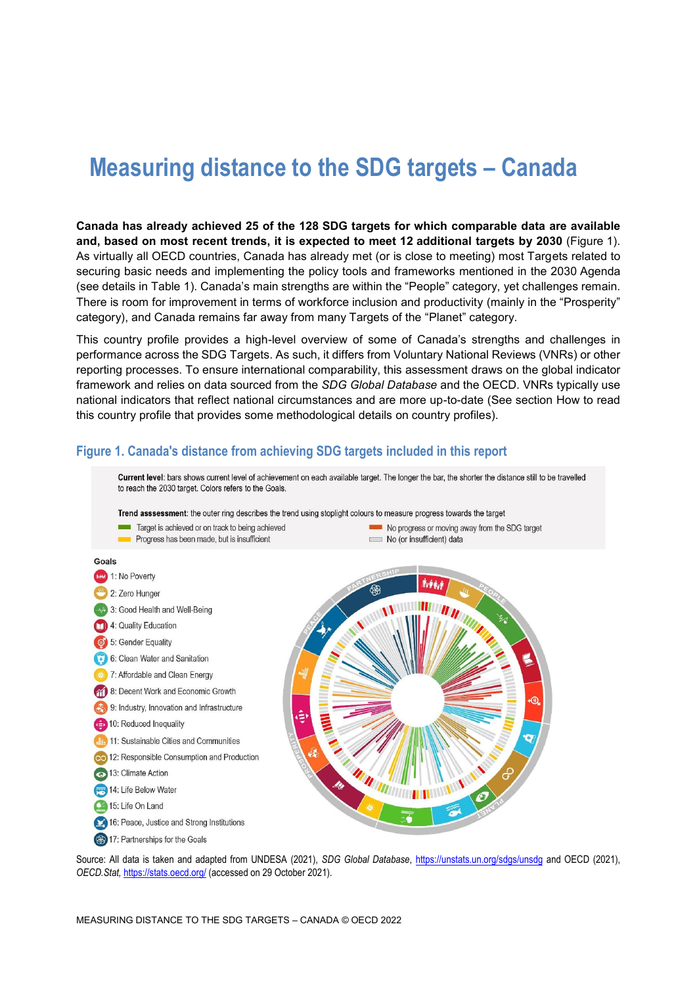# **Measuring distance to the SDG targets – Canada**

**Canada has already achieved 25 of the 128 SDG targets for which comparable data are available and, based on most recent trends, it is expected to meet 12 additional targets by 2030** [\(Figure](#page-0-0) 1). As virtually all OECD countries, Canada has already met (or is close to meeting) most Targets related to securing basic needs and implementing the policy tools and frameworks mentioned in the 2030 Agenda (see details in [Table](#page-2-0) 1). Canada's main strengths are within the "People" category, yet challenges remain. There is room for improvement in terms of workforce inclusion and productivity (mainly in the "Prosperity" category), and Canada remains far away from many Targets of the "Planet" category.

This country profile provides a high-level overview of some of Canada's strengths and challenges in performance across the SDG Targets. As such, it differs from Voluntary National Reviews (VNRs) or other reporting processes. To ensure international comparability, this assessment draws on the global indicator framework and relies on data sourced from the *SDG Global Database* and the OECD. VNRs typically use national indicators that reflect national circumstances and are more up-to-date (See section [How to read](#page-6-0)  this [country profile](#page-6-0) that provides some methodological details on country profiles).



<span id="page-0-0"></span>**Figure 1. Canada's distance from achieving SDG targets included in this report**

Source: All data is taken and adapted from UNDESA (2021), *SDG Global Database*,<https://unstats.un.org/sdgs/unsdg> and OECD (2021), *OECD.Stat,* <https://stats.oecd.org/> (accessed on 29 October 2021).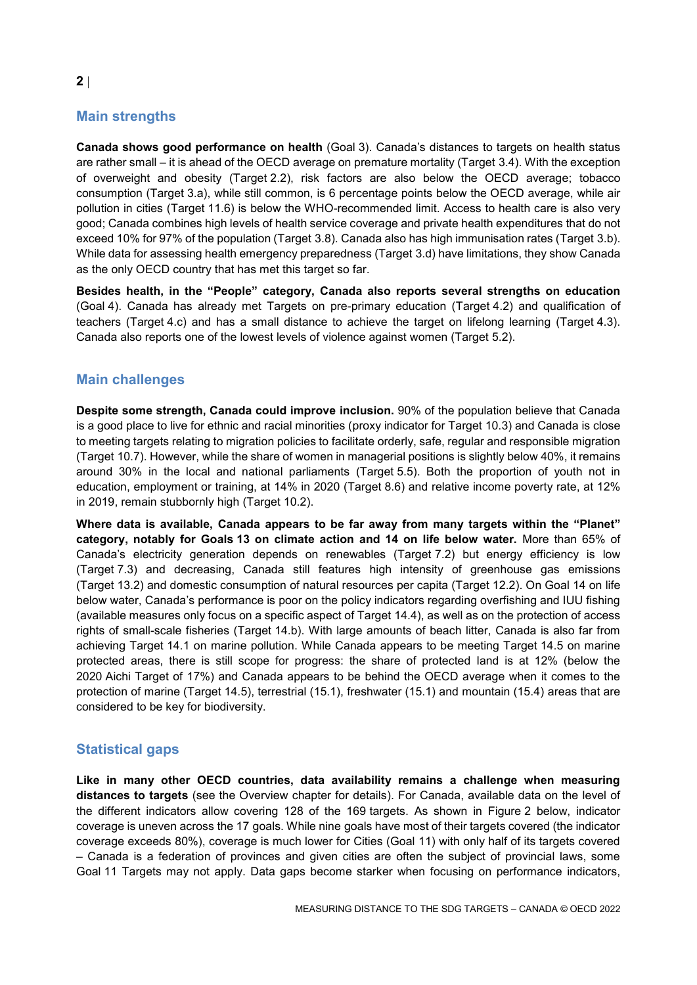# **Main strengths**

**Canada shows good performance on health** (Goal 3). Canada's distances to targets on health status are rather small – it is ahead of the OECD average on premature mortality (Target 3.4). With the exception of overweight and obesity (Target 2.2), risk factors are also below the OECD average; tobacco consumption (Target 3.a), while still common, is 6 percentage points below the OECD average, while air pollution in cities (Target 11.6) is below the WHO-recommended limit. Access to health care is also very good; Canada combines high levels of health service coverage and private health expenditures that do not exceed 10% for 97% of the population (Target 3.8). Canada also has high immunisation rates (Target 3.b). While data for assessing health emergency preparedness (Target 3.d) have limitations, they show Canada as the only OECD country that has met this target so far.

**Besides health, in the "People" category, Canada also reports several strengths on education** (Goal 4). Canada has already met Targets on pre-primary education (Target 4.2) and qualification of teachers (Target 4.c) and has a small distance to achieve the target on lifelong learning (Target 4.3). Canada also reports one of the lowest levels of violence against women (Target 5.2).

## **Main challenges**

**Despite some strength, Canada could improve inclusion.** 90% of the population believe that Canada is a good place to live for ethnic and racial minorities (proxy indicator for Target 10.3) and Canada is close to meeting targets relating to migration policies to facilitate orderly, safe, regular and responsible migration (Target 10.7). However, while the share of women in managerial positions is slightly below 40%, it remains around 30% in the local and national parliaments (Target 5.5). Both the proportion of youth not in education, employment or training, at 14% in 2020 (Target 8.6) and relative income poverty rate, at 12% in 2019, remain stubbornly high (Target 10.2).

**Where data is available, Canada appears to be far away from many targets within the "Planet" category, notably for Goals 13 on climate action and 14 on life below water.** More than 65% of Canada's electricity generation depends on renewables (Target 7.2) but energy efficiency is low (Target 7.3) and decreasing, Canada still features high intensity of greenhouse gas emissions (Target 13.2) and domestic consumption of natural resources per capita (Target 12.2). On Goal 14 on life below water, Canada's performance is poor on the policy indicators regarding overfishing and IUU fishing (available measures only focus on a specific aspect of Target 14.4), as well as on the protection of access rights of small-scale fisheries (Target 14.b). With large amounts of beach litter, Canada is also far from achieving Target 14.1 on marine pollution. While Canada appears to be meeting Target 14.5 on marine protected areas, there is still scope for progress: the share of protected land is at 12% (below the 2020 Aichi Target of 17%) and Canada appears to be behind the OECD average when it comes to the protection of marine (Target 14.5), terrestrial (15.1), freshwater (15.1) and mountain (15.4) areas that are considered to be key for biodiversity.

## **Statistical gaps**

**Like in many other OECD countries, data availability remains a challenge when measuring distances to targets** (see the Overview chapter for details). For Canada, available data on the level of the different indicators allow covering 128 of the 169 targets. As shown in [Figure](#page-2-1) 2 below, indicator coverage is uneven across the 17 goals. While nine goals have most of their targets covered (the indicator coverage exceeds 80%), coverage is much lower for Cities (Goal 11) with only half of its targets covered – Canada is a federation of provinces and given cities are often the subject of provincial laws, some Goal 11 Targets may not apply. Data gaps become starker when focusing on performance indicators,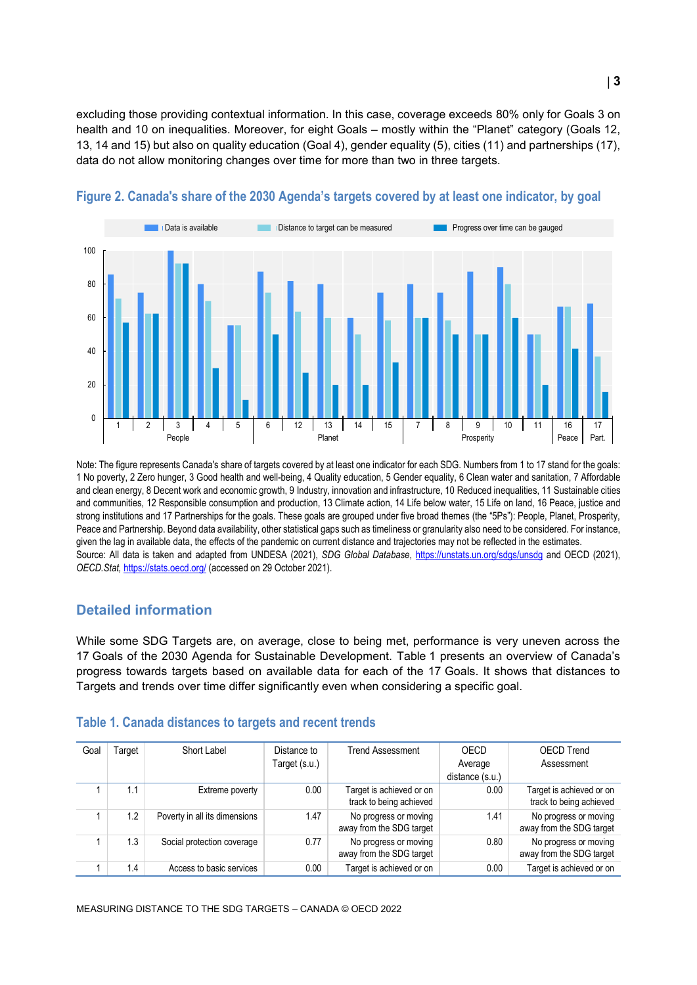excluding those providing contextual information. In this case, coverage exceeds 80% only for Goals 3 on health and 10 on inequalities. Moreover, for eight Goals – mostly within the "Planet" category (Goals 12, 13, 14 and 15) but also on quality education (Goal 4), gender equality (5), cities (11) and partnerships (17), data do not allow monitoring changes over time for more than two in three targets.



### <span id="page-2-1"></span>**Figure 2. Canada's share of the 2030 Agenda's targets covered by at least one indicator, by goal**

Note: The figure represents Canada's share of targets covered by at least one indicator for each SDG. Numbers from 1 to 17 stand for the goals: 1 No poverty, 2 Zero hunger, 3 Good health and well-being, 4 Quality education, 5 Gender equality, 6 Clean water and sanitation, 7 Affordable and clean energy, 8 Decent work and economic growth, 9 Industry, innovation and infrastructure, 10 Reduced inequalities, 11 Sustainable cities and communities, 12 Responsible consumption and production, 13 Climate action, 14 Life below water, 15 Life on land, 16 Peace, justice and strong institutions and 17 Partnerships for the goals. These goals are grouped under five broad themes (the "5Ps"): People, Planet, Prosperity, Peace and Partnership. Beyond data availability, other statistical gaps such as timeliness or granularity also need to be considered. For instance, given the lag in available data, the effects of the pandemic on current distance and trajectories may not be reflected in the estimates. Source: All data is taken and adapted from UNDESA (2021), *SDG Global Database*,<https://unstats.un.org/sdgs/unsdg> and OECD (2021), *OECD.Stat,* <https://stats.oecd.org/> (accessed on 29 October 2021).

## **Detailed information**

While some SDG Targets are, on average, close to being met, performance is very uneven across the 17 Goals of the 2030 Agenda for Sustainable Development. [Table](#page-2-0) 1 presents an overview of Canada's progress towards targets based on available data for each of the 17 Goals. It shows that distances to Targets and trends over time differ significantly even when considering a specific goal.

| Goal | Target | Short Label                   | Distance to<br>Target (s.u.) | <b>Trend Assessment</b>                             | OECD<br>Average | <b>OECD Trend</b><br>Assessment                     |
|------|--------|-------------------------------|------------------------------|-----------------------------------------------------|-----------------|-----------------------------------------------------|
|      |        |                               |                              |                                                     | distance (s.u.) |                                                     |
|      | 1.1    | Extreme poverty               | 0.00                         | Target is achieved or on<br>track to being achieved | 0.00            | Target is achieved or on<br>track to being achieved |
|      | 1.2    | Poverty in all its dimensions | 1.47                         | No progress or moving<br>away from the SDG target   | 1.41            | No progress or moving<br>away from the SDG target   |
|      | 1.3    | Social protection coverage    | 0.77                         | No progress or moving<br>away from the SDG target   | 0.80            | No progress or moving<br>away from the SDG target   |
|      | 1.4    | Access to basic services      | 0.00                         | Target is achieved or on                            | 0.00            | Target is achieved or on                            |

#### <span id="page-2-0"></span>**Table 1. Canada distances to targets and recent trends**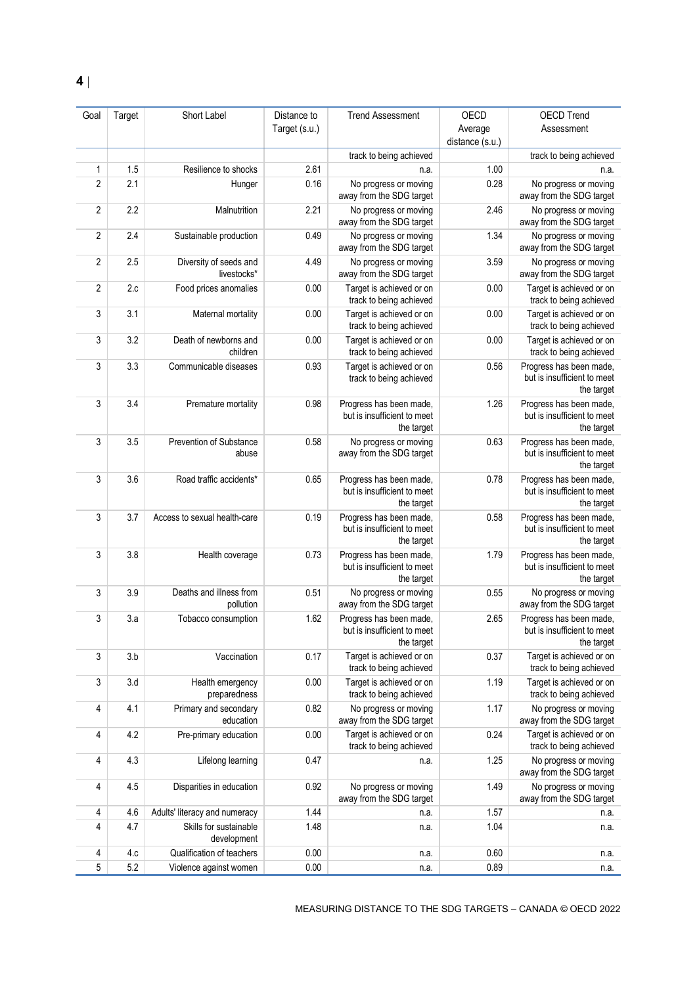| Goal           | Target | Short Label                             | Distance to   | <b>Trend Assessment</b>                                              | OECD                       | <b>OECD Trend</b>                                                    |
|----------------|--------|-----------------------------------------|---------------|----------------------------------------------------------------------|----------------------------|----------------------------------------------------------------------|
|                |        |                                         | Target (s.u.) |                                                                      | Average<br>distance (s.u.) | Assessment                                                           |
|                |        |                                         |               | track to being achieved                                              |                            | track to being achieved                                              |
| 1              | 1.5    | Resilience to shocks                    | 2.61          | n.a.                                                                 | 1.00                       | n.a.                                                                 |
| $\sqrt{2}$     | 2.1    | Hunger                                  | 0.16          | No progress or moving<br>away from the SDG target                    | 0.28                       | No progress or moving<br>away from the SDG target                    |
| $\overline{2}$ | 2.2    | Malnutrition                            | 2.21          | No progress or moving<br>away from the SDG target                    | 2.46                       | No progress or moving<br>away from the SDG target                    |
| $\overline{2}$ | 2.4    | Sustainable production                  | 0.49          | No progress or moving<br>away from the SDG target                    | 1.34                       | No progress or moving<br>away from the SDG target                    |
| $\overline{2}$ | 2.5    | Diversity of seeds and<br>livestocks*   | 4.49          | No progress or moving<br>away from the SDG target                    | 3.59                       | No progress or moving<br>away from the SDG target                    |
| 2              | 2.c    | Food prices anomalies                   | 0.00          | Target is achieved or on<br>track to being achieved                  | 0.00                       | Target is achieved or on<br>track to being achieved                  |
| 3              | 3.1    | Maternal mortality                      | 0.00          | Target is achieved or on<br>track to being achieved                  | 0.00                       | Target is achieved or on<br>track to being achieved                  |
| 3              | 3.2    | Death of newborns and<br>children       | 0.00          | Target is achieved or on<br>track to being achieved                  | 0.00                       | Target is achieved or on<br>track to being achieved                  |
| 3              | 3.3    | Communicable diseases                   | 0.93          | Target is achieved or on<br>track to being achieved                  | 0.56                       | Progress has been made,<br>but is insufficient to meet<br>the target |
| 3              | 3.4    | Premature mortality                     | 0.98          | Progress has been made,<br>but is insufficient to meet<br>the target | 1.26                       | Progress has been made,<br>but is insufficient to meet<br>the target |
| 3              | 3.5    | <b>Prevention of Substance</b><br>abuse | 0.58          | No progress or moving<br>away from the SDG target                    | 0.63                       | Progress has been made,<br>but is insufficient to meet<br>the target |
| 3              | 3.6    | Road traffic accidents*                 | 0.65          | Progress has been made,<br>but is insufficient to meet<br>the target | 0.78                       | Progress has been made,<br>but is insufficient to meet<br>the target |
| 3              | 3.7    | Access to sexual health-care            | 0.19          | Progress has been made,<br>but is insufficient to meet<br>the target | 0.58                       | Progress has been made,<br>but is insufficient to meet<br>the target |
| 3              | 3.8    | Health coverage                         | 0.73          | Progress has been made,<br>but is insufficient to meet<br>the target | 1.79                       | Progress has been made,<br>but is insufficient to meet<br>the target |
| 3              | 3.9    | Deaths and illness from<br>pollution    | 0.51          | No progress or moving<br>away from the SDG target                    | 0.55                       | No progress or moving<br>away from the SDG target                    |
| 3              | 3.a    | Tobacco consumption                     | 1.62          | Progress has been made,<br>but is insufficient to meet<br>the target | 2.65                       | Progress has been made,<br>but is insufficient to meet<br>the target |
| $\mathbf{3}$   | 3.b    | Vaccination                             | 0.17          | Target is achieved or on<br>track to being achieved                  | 0.37                       | Target is achieved or on<br>track to being achieved                  |
| 3              | 3.d    | Health emergency<br>preparedness        | 0.00          | Target is achieved or on<br>track to being achieved                  | 1.19                       | Target is achieved or on<br>track to being achieved                  |
| 4              | 4.1    | Primary and secondary<br>education      | 0.82          | No progress or moving<br>away from the SDG target                    | 1.17                       | No progress or moving<br>away from the SDG target                    |
| 4              | 4.2    | Pre-primary education                   | 0.00          | Target is achieved or on<br>track to being achieved                  | 0.24                       | Target is achieved or on<br>track to being achieved                  |
| 4              | 4.3    | Lifelong learning                       | 0.47          | n.a.                                                                 | 1.25                       | No progress or moving<br>away from the SDG target                    |
| 4              | 4.5    | Disparities in education                | 0.92          | No progress or moving<br>away from the SDG target                    | 1.49                       | No progress or moving<br>away from the SDG target                    |
| 4              | 4.6    | Adults' literacy and numeracy           | 1.44          | n.a.                                                                 | 1.57                       | n.a.                                                                 |
| 4              | 4.7    | Skills for sustainable<br>development   | 1.48          | n.a.                                                                 | 1.04                       | n.a.                                                                 |
| 4              | 4.c    | Qualification of teachers               | 0.00          | n.a.                                                                 | 0.60                       | n.a.                                                                 |
| 5              | 5.2    | Violence against women                  | 0.00          | n.a.                                                                 | 0.89                       | n.a.                                                                 |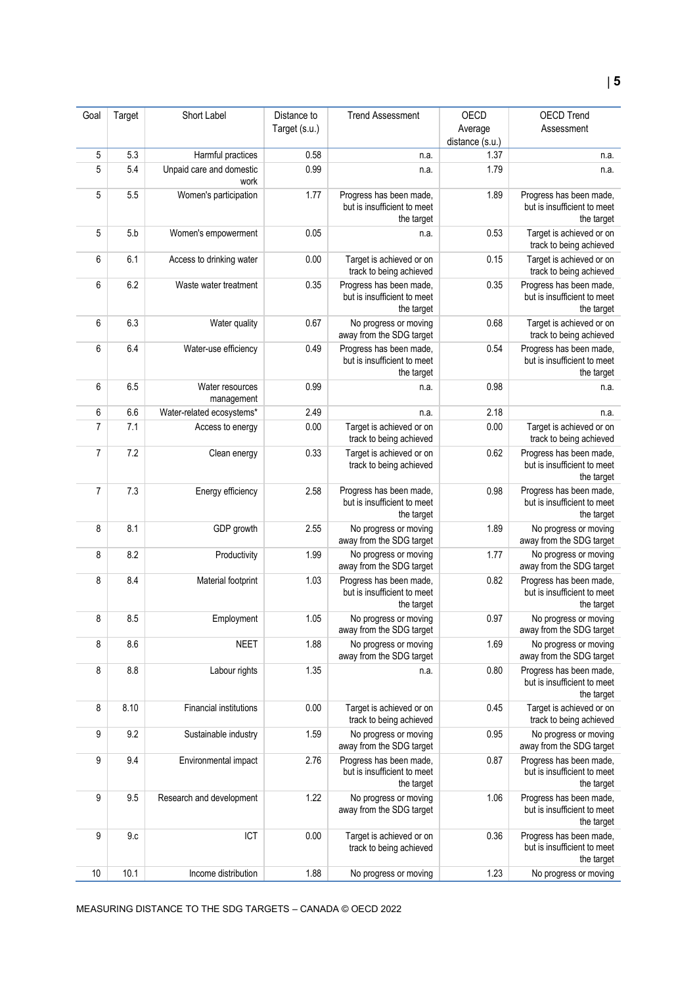| Goal           | Target | Short Label                      | Distance to   | <b>Trend Assessment</b>                                              | OECD            | OECD Trend                                                           |
|----------------|--------|----------------------------------|---------------|----------------------------------------------------------------------|-----------------|----------------------------------------------------------------------|
|                |        |                                  | Target (s.u.) |                                                                      | Average         | Assessment                                                           |
|                |        |                                  |               |                                                                      | distance (s.u.) |                                                                      |
| 5              | 5.3    | Harmful practices                | 0.58          | n.a.                                                                 | 1.37            | n.a.                                                                 |
| 5              | 5.4    | Unpaid care and domestic<br>work | 0.99          | n.a.                                                                 | 1.79            | n.a.                                                                 |
| 5              | 5.5    | Women's participation            | 1.77          | Progress has been made,<br>but is insufficient to meet<br>the target | 1.89            | Progress has been made,<br>but is insufficient to meet<br>the target |
| 5              | 5.b    | Women's empowerment              | 0.05          | n.a.                                                                 | 0.53            | Target is achieved or on<br>track to being achieved                  |
| 6              | 6.1    | Access to drinking water         | 0.00          | Target is achieved or on<br>track to being achieved                  | 0.15            | Target is achieved or on<br>track to being achieved                  |
| 6              | 6.2    | Waste water treatment            | 0.35          | Progress has been made,<br>but is insufficient to meet<br>the target | 0.35            | Progress has been made,<br>but is insufficient to meet<br>the target |
| 6              | 6.3    | Water quality                    | 0.67          | No progress or moving<br>away from the SDG target                    | 0.68            | Target is achieved or on<br>track to being achieved                  |
| 6              | 6.4    | Water-use efficiency             | 0.49          | Progress has been made,<br>but is insufficient to meet<br>the target | 0.54            | Progress has been made,<br>but is insufficient to meet<br>the target |
| 6              | 6.5    | Water resources<br>management    | 0.99          | n.a.                                                                 | 0.98            | n.a.                                                                 |
| 6              | 6.6    | Water-related ecosystems*        | 2.49          | n.a.                                                                 | 2.18            | n.a.                                                                 |
| $\overline{7}$ | 7.1    | Access to energy                 | 0.00          | Target is achieved or on<br>track to being achieved                  | 0.00            | Target is achieved or on<br>track to being achieved                  |
| 7              | 7.2    | Clean energy                     | 0.33          | Target is achieved or on<br>track to being achieved                  | 0.62            | Progress has been made,<br>but is insufficient to meet<br>the target |
| $\overline{7}$ | 7.3    | Energy efficiency                | 2.58          | Progress has been made,<br>but is insufficient to meet<br>the target | 0.98            | Progress has been made,<br>but is insufficient to meet<br>the target |
| 8              | 8.1    | GDP growth                       | 2.55          | No progress or moving<br>away from the SDG target                    | 1.89            | No progress or moving<br>away from the SDG target                    |
| 8              | 8.2    | Productivity                     | 1.99          | No progress or moving<br>away from the SDG target                    | 1.77            | No progress or moving<br>away from the SDG target                    |
| 8              | 8.4    | Material footprint               | 1.03          | Progress has been made,<br>but is insufficient to meet<br>the target | 0.82            | Progress has been made,<br>but is insufficient to meet<br>the target |
| 8              | 8.5    | Employment                       | 1.05          | No progress or moving<br>away from the SDG target                    | 0.97            | No progress or moving<br>away from the SDG target                    |
| 8              | 8.6    | <b>NEET</b>                      | 1.88          | No progress or moving<br>away from the SDG target                    | 1.69            | No progress or moving<br>away from the SDG target                    |
| 8              | 8.8    | Labour rights                    | 1.35          | n.a.                                                                 | 0.80            | Progress has been made,<br>but is insufficient to meet<br>the target |
| 8              | 8.10   | <b>Financial institutions</b>    | 0.00          | Target is achieved or on<br>track to being achieved                  | 0.45            | Target is achieved or on<br>track to being achieved                  |
| 9              | 9.2    | Sustainable industry             | 1.59          | No progress or moving<br>away from the SDG target                    | 0.95            | No progress or moving<br>away from the SDG target                    |
| 9              | 9.4    | Environmental impact             | 2.76          | Progress has been made,<br>but is insufficient to meet<br>the target | 0.87            | Progress has been made,<br>but is insufficient to meet<br>the target |
| 9              | 9.5    | Research and development         | 1.22          | No progress or moving<br>away from the SDG target                    | 1.06            | Progress has been made,<br>but is insufficient to meet<br>the target |
| 9              | 9.c    | ICT                              | 0.00          | Target is achieved or on<br>track to being achieved                  | 0.36            | Progress has been made,<br>but is insufficient to meet<br>the target |
| 10             | 10.1   | Income distribution              | 1.88          | No progress or moving                                                | 1.23            | No progress or moving                                                |

MEASURING DISTANCE TO THE SDG TARGETS – CANADA © OECD 2022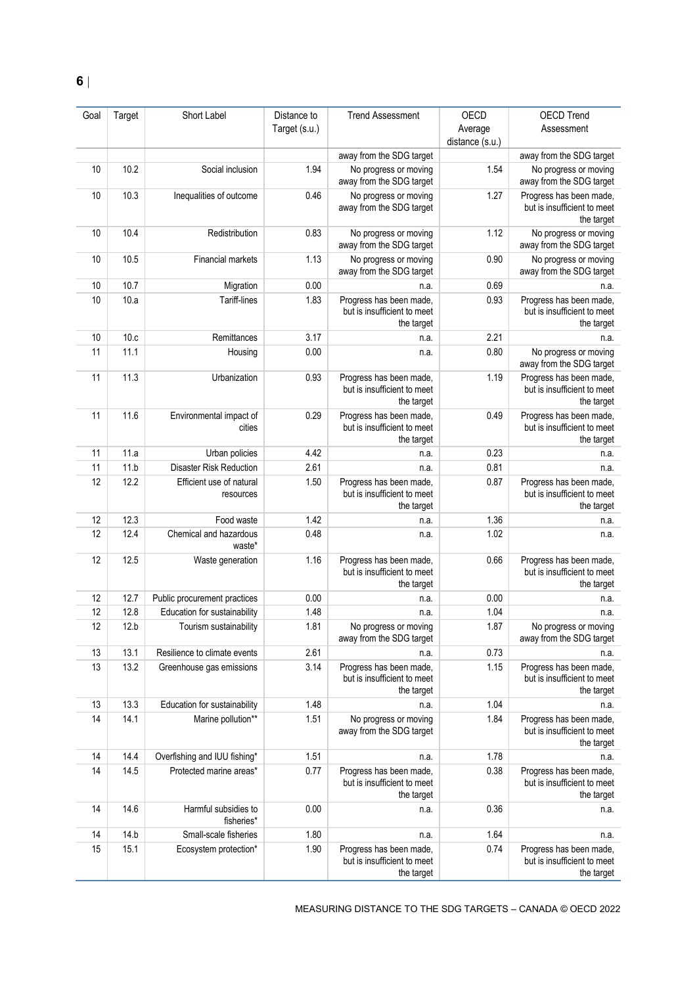| Goal | Target | Short Label                           | Distance to   | <b>Trend Assessment</b>                                              | OECD            | <b>OECD Trend</b>                                                    |
|------|--------|---------------------------------------|---------------|----------------------------------------------------------------------|-----------------|----------------------------------------------------------------------|
|      |        |                                       | Target (s.u.) |                                                                      | Average         | Assessment                                                           |
|      |        |                                       |               |                                                                      | distance (s.u.) |                                                                      |
|      |        |                                       |               | away from the SDG target                                             |                 | away from the SDG target                                             |
| 10   | 10.2   | Social inclusion                      | 1.94          | No progress or moving<br>away from the SDG target                    | 1.54            | No progress or moving<br>away from the SDG target                    |
| 10   | 10.3   | Inequalities of outcome               | 0.46          | No progress or moving<br>away from the SDG target                    | 1.27            | Progress has been made,<br>but is insufficient to meet<br>the target |
| 10   | 10.4   | Redistribution                        | 0.83          | No progress or moving<br>away from the SDG target                    | 1.12            | No progress or moving<br>away from the SDG target                    |
| 10   | 10.5   | Financial markets                     | 1.13          | No progress or moving<br>away from the SDG target                    | 0.90            | No progress or moving<br>away from the SDG target                    |
| 10   | 10.7   | Migration                             | 0.00          | n.a.                                                                 | 0.69            | n.a.                                                                 |
| 10   | 10.a   | Tariff-lines                          | 1.83          | Progress has been made,<br>but is insufficient to meet<br>the target | 0.93            | Progress has been made,<br>but is insufficient to meet<br>the target |
| 10   | 10.c   | Remittances                           | 3.17          | n.a.                                                                 | 2.21            | n.a.                                                                 |
| 11   | 11.1   | Housing                               | 0.00          | n.a.                                                                 | 0.80            | No progress or moving<br>away from the SDG target                    |
| 11   | 11.3   | Urbanization                          | 0.93          | Progress has been made,<br>but is insufficient to meet<br>the target | 1.19            | Progress has been made,<br>but is insufficient to meet<br>the target |
| 11   | 11.6   | Environmental impact of<br>cities     | 0.29          | Progress has been made,<br>but is insufficient to meet<br>the target | 0.49            | Progress has been made,<br>but is insufficient to meet<br>the target |
| 11   | 11.a   | Urban policies                        | 4.42          | n.a.                                                                 | 0.23            | n.a.                                                                 |
| 11   | 11.b   | <b>Disaster Risk Reduction</b>        | 2.61          | n.a.                                                                 | 0.81            | n.a.                                                                 |
| 12   | 12.2   | Efficient use of natural<br>resources | 1.50          | Progress has been made,<br>but is insufficient to meet<br>the target | 0.87            | Progress has been made,<br>but is insufficient to meet<br>the target |
| 12   | 12.3   | Food waste                            | 1.42          | n.a.                                                                 | 1.36            | n.a.                                                                 |
| 12   | 12.4   | Chemical and hazardous<br>waste*      | 0.48          | n.a.                                                                 | 1.02            | n.a.                                                                 |
| 12   | 12.5   | Waste generation                      | 1.16          | Progress has been made,<br>but is insufficient to meet<br>the target | 0.66            | Progress has been made,<br>but is insufficient to meet<br>the target |
| 12   | 12.7   | Public procurement practices          | 0.00          | n.a.                                                                 | 0.00            | n.a.                                                                 |
| 12   | 12.8   | Education for sustainability          | 1.48          | n.a.                                                                 | 1.04            | n.a.                                                                 |
| 12   | 12.b   | Tourism sustainability                | 1.81          | No progress or moving<br>away from the SDG target                    | 1.87            | No progress or moving<br>away from the SDG target                    |
| 13   | 13.1   | Resilience to climate events          | 2.61          | n.a.                                                                 | 0.73            | n.a.                                                                 |
| 13   | 13.2   | Greenhouse gas emissions              | 3.14          | Progress has been made,<br>but is insufficient to meet<br>the target | 1.15            | Progress has been made,<br>but is insufficient to meet<br>the target |
| 13   | 13.3   | Education for sustainability          | 1.48          | n.a.                                                                 | 1.04            | n.a.                                                                 |
| 14   | 14.1   | Marine pollution**                    | 1.51          | No progress or moving<br>away from the SDG target                    | 1.84            | Progress has been made,<br>but is insufficient to meet<br>the target |
| 14   | 14.4   | Overfishing and IUU fishing*          | 1.51          | n.a.                                                                 | 1.78            | n.a.                                                                 |
| 14   | 14.5   | Protected marine areas*               | 0.77          | Progress has been made,<br>but is insufficient to meet<br>the target | 0.38            | Progress has been made,<br>but is insufficient to meet<br>the target |
| 14   | 14.6   | Harmful subsidies to<br>fisheries*    | 0.00          | n.a.                                                                 | 0.36            | n.a.                                                                 |
| 14   | 14.b   | Small-scale fisheries                 | 1.80          | n.a.                                                                 | 1.64            | n.a.                                                                 |
| 15   | 15.1   | Ecosystem protection*                 | 1.90          | Progress has been made,<br>but is insufficient to meet<br>the target | 0.74            | Progress has been made,<br>but is insufficient to meet<br>the target |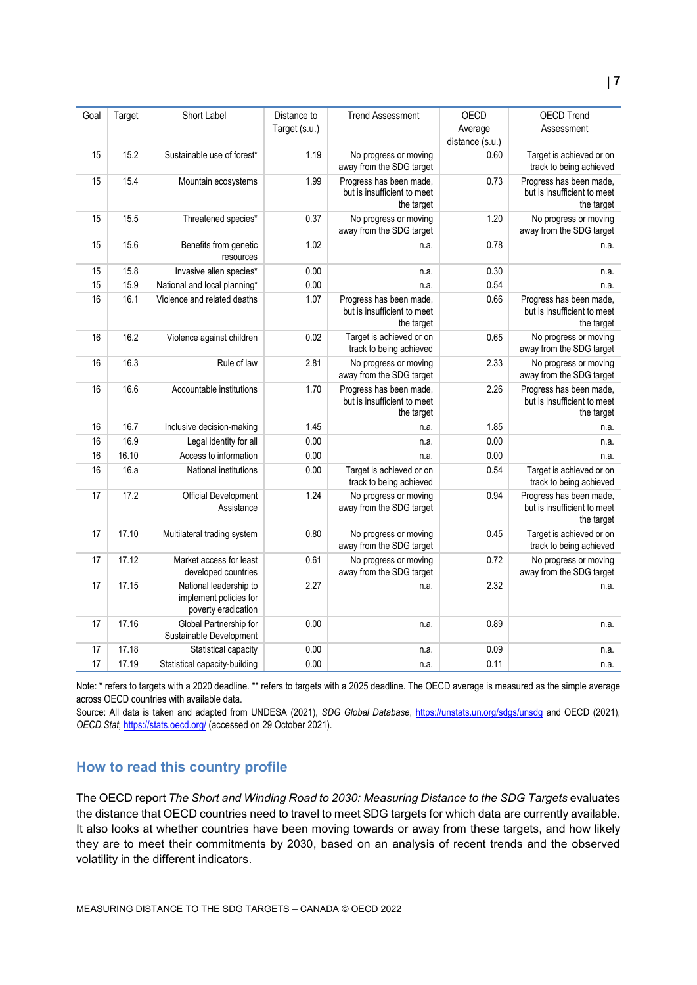| Goal | Target | Short Label                                                             | Distance to<br>Target (s.u.) | <b>Trend Assessment</b>                                              | OECD<br>Average<br>distance (s.u.) | <b>OECD Trend</b><br>Assessment                                      |
|------|--------|-------------------------------------------------------------------------|------------------------------|----------------------------------------------------------------------|------------------------------------|----------------------------------------------------------------------|
| 15   | 15.2   | Sustainable use of forest*                                              | 1.19                         | No progress or moving<br>away from the SDG target                    | 0.60                               | Target is achieved or on<br>track to being achieved                  |
| 15   | 15.4   | Mountain ecosystems                                                     | 1.99                         | Progress has been made,<br>but is insufficient to meet<br>the target | 0.73                               | Progress has been made,<br>but is insufficient to meet<br>the target |
| 15   | 15.5   | Threatened species*                                                     | 0.37                         | No progress or moving<br>away from the SDG target                    | 1.20                               | No progress or moving<br>away from the SDG target                    |
| 15   | 15.6   | Benefits from genetic<br>resources                                      | 1.02                         | n.a.                                                                 | 0.78                               | n.a.                                                                 |
| 15   | 15.8   | Invasive alien species*                                                 | 0.00                         | n.a.                                                                 | 0.30                               | n.a.                                                                 |
| 15   | 15.9   | National and local planning*                                            | 0.00                         | n.a.                                                                 | 0.54                               | n.a.                                                                 |
| 16   | 16.1   | Violence and related deaths                                             | 1.07                         | Progress has been made,<br>but is insufficient to meet<br>the target | 0.66                               | Progress has been made,<br>but is insufficient to meet<br>the target |
| 16   | 16.2   | Violence against children                                               | 0.02                         | Target is achieved or on<br>track to being achieved                  | 0.65                               | No progress or moving<br>away from the SDG target                    |
| 16   | 16.3   | Rule of law                                                             | 2.81                         | No progress or moving<br>away from the SDG target                    | 2.33                               | No progress or moving<br>away from the SDG target                    |
| 16   | 16.6   | Accountable institutions                                                | 1.70                         | Progress has been made,<br>but is insufficient to meet<br>the target | 2.26                               | Progress has been made,<br>but is insufficient to meet<br>the target |
| 16   | 16.7   | Inclusive decision-making                                               | 1.45                         | n.a.                                                                 | 1.85                               | n.a.                                                                 |
| 16   | 16.9   | Legal identity for all                                                  | 0.00                         | n.a.                                                                 | 0.00                               | n.a.                                                                 |
| 16   | 16.10  | Access to information                                                   | 0.00                         | n.a.                                                                 | 0.00                               | n.a.                                                                 |
| 16   | 16.a   | National institutions                                                   | 0.00                         | Target is achieved or on<br>track to being achieved                  | 0.54                               | Target is achieved or on<br>track to being achieved                  |
| 17   | 17.2   | Official Development<br>Assistance                                      | 1.24                         | No progress or moving<br>away from the SDG target                    | 0.94                               | Progress has been made,<br>but is insufficient to meet<br>the target |
| 17   | 17.10  | Multilateral trading system                                             | 0.80                         | No progress or moving<br>away from the SDG target                    | 0.45                               | Target is achieved or on<br>track to being achieved                  |
| 17   | 17.12  | Market access for least<br>developed countries                          | 0.61                         | No progress or moving<br>away from the SDG target                    | 0.72                               | No progress or moving<br>away from the SDG target                    |
| 17   | 17.15  | National leadership to<br>implement policies for<br>poverty eradication | 2.27                         | n.a.                                                                 | 2.32                               | n.a.                                                                 |
| 17   | 17.16  | Global Partnership for<br>Sustainable Development                       | 0.00                         | n.a.                                                                 | 0.89                               | n.a.                                                                 |
| 17   | 17.18  | Statistical capacity                                                    | 0.00                         | n.a.                                                                 | 0.09                               | n.a.                                                                 |
| 17   | 17.19  | Statistical capacity-building                                           | 0.00                         | n.a.                                                                 | 0.11                               | n.a.                                                                 |

Note: \* refers to targets with a 2020 deadline. \*\* refers to targets with a 2025 deadline. The OECD average is measured as the simple average across OECD countries with available data.

Source: All data is taken and adapted from UNDESA (2021), *SDG Global Database*,<https://unstats.un.org/sdgs/unsdg> and OECD (2021), *OECD.Stat,* <https://stats.oecd.org/> (accessed on 29 October 2021).

## <span id="page-6-0"></span>**How to read this country profile**

The OECD report *The Short and Winding Road to 2030: Measuring Distance to the SDG Targets* evaluates the distance that OECD countries need to travel to meet SDG targets for which data are currently available. It also looks at whether countries have been moving towards or away from these targets, and how likely they are to meet their commitments by 2030, based on an analysis of recent trends and the observed volatility in the different indicators.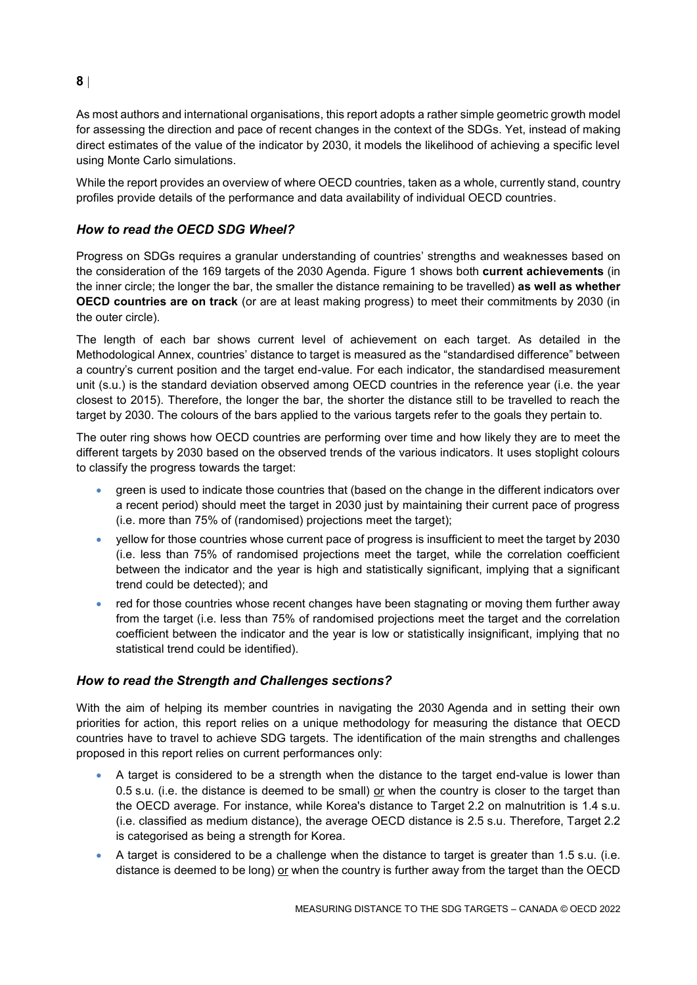As most authors and international organisations, this report adopts a rather simple geometric growth model for assessing the direction and pace of recent changes in the context of the SDGs. Yet, instead of making direct estimates of the value of the indicator by 2030, it models the likelihood of achieving a specific level using Monte Carlo simulations.

While the report provides an overview of where OECD countries, taken as a whole, currently stand, country profiles provide details of the performance and data availability of individual OECD countries.

## *How to read the OECD SDG Wheel?*

Progress on SDGs requires a granular understanding of countries' strengths and weaknesses based on the consideration of the 169 targets of the 2030 Agenda. [Figure](#page-0-0) 1 shows both **current achievements** (in the inner circle; the longer the bar, the smaller the distance remaining to be travelled) **as well as whether OECD countries are on track** (or are at least making progress) to meet their commitments by 2030 (in the outer circle).

The length of each bar shows current level of achievement on each target. As detailed in the Methodological Annex, countries' distance to target is measured as the "standardised difference" between a country's current position and the target end-value. For each indicator, the standardised measurement unit (s.u.) is the standard deviation observed among OECD countries in the reference year (i.e. the year closest to 2015). Therefore, the longer the bar, the shorter the distance still to be travelled to reach the target by 2030. The colours of the bars applied to the various targets refer to the goals they pertain to.

The outer ring shows how OECD countries are performing over time and how likely they are to meet the different targets by 2030 based on the observed trends of the various indicators. It uses stoplight colours to classify the progress towards the target:

- green is used to indicate those countries that (based on the change in the different indicators over a recent period) should meet the target in 2030 just by maintaining their current pace of progress (i.e. more than 75% of (randomised) projections meet the target);
- yellow for those countries whose current pace of progress is insufficient to meet the target by 2030 (i.e. less than 75% of randomised projections meet the target, while the correlation coefficient between the indicator and the year is high and statistically significant, implying that a significant trend could be detected); and
- red for those countries whose recent changes have been stagnating or moving them further away from the target (i.e. less than 75% of randomised projections meet the target and the correlation coefficient between the indicator and the year is low or statistically insignificant, implying that no statistical trend could be identified).

## *How to read the Strength and Challenges sections?*

With the aim of helping its member countries in navigating the 2030 Agenda and in setting their own priorities for action, this report relies on a unique methodology for measuring the distance that OECD countries have to travel to achieve SDG targets. The identification of the main strengths and challenges proposed in this report relies on current performances only:

- A target is considered to be a strength when the distance to the target end-value is lower than 0.5 s.u. (i.e. the distance is deemed to be small) or when the country is closer to the target than the OECD average. For instance, while Korea's distance to Target 2.2 on malnutrition is 1.4 s.u. (i.e. classified as medium distance), the average OECD distance is 2.5 s.u. Therefore, Target 2.2 is categorised as being a strength for Korea.
- A target is considered to be a challenge when the distance to target is greater than 1.5 s.u. (i.e. distance is deemed to be long) or when the country is further away from the target than the OECD

## **8**